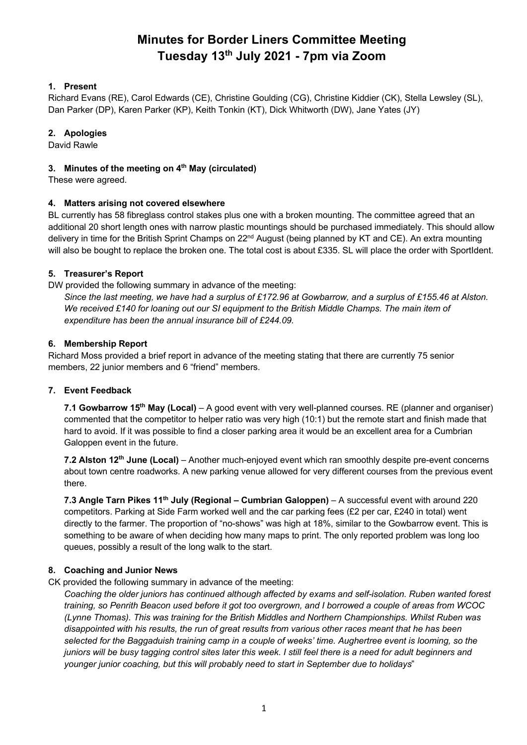# **Minutes for Border Liners Committee Meeting Tuesday 13th July 2021 - 7pm via Zoom**

## **1. Present**

Richard Evans (RE), Carol Edwards (CE), Christine Goulding (CG), Christine Kiddier (CK), Stella Lewsley (SL), Dan Parker (DP), Karen Parker (KP), Keith Tonkin (KT), Dick Whitworth (DW), Jane Yates (JY)

#### **2. Apologies**

David Rawle

## **3. Minutes of the meeting on 4th May (circulated)**

These were agreed.

## **4. Matters arising not covered elsewhere**

BL currently has 58 fibreglass control stakes plus one with a broken mounting. The committee agreed that an additional 20 short length ones with narrow plastic mountings should be purchased immediately. This should allow delivery in time for the British Sprint Champs on 22<sup>nd</sup> August (being planned by KT and CE). An extra mounting will also be bought to replace the broken one. The total cost is about £335. SL will place the order with SportIdent.

## **5. Treasurer's Report**

DW provided the following summary in advance of the meeting:

*Since the last meeting, we have had a surplus of £172.96 at Gowbarrow, and a surplus of £155.46 at Alston. We received £140 for loaning out our SI equipment to the British Middle Champs. The main item of expenditure has been the annual insurance bill of £244.09.*

## **6. Membership Report**

Richard Moss provided a brief report in advance of the meeting stating that there are currently 75 senior members, 22 junior members and 6 "friend" members.

# **7. Event Feedback**

**7.1 Gowbarrow 15th May (Local)** – A good event with very well-planned courses. RE (planner and organiser) commented that the competitor to helper ratio was very high (10:1) but the remote start and finish made that hard to avoid. If it was possible to find a closer parking area it would be an excellent area for a Cumbrian Galoppen event in the future.

**7.2 Alston 12th June (Local)** – Another much-enjoyed event which ran smoothly despite pre-event concerns about town centre roadworks. A new parking venue allowed for very different courses from the previous event there.

**7.3 Angle Tarn Pikes 11th July (Regional – Cumbrian Galoppen)** – A successful event with around 220 competitors. Parking at Side Farm worked well and the car parking fees (£2 per car, £240 in total) went directly to the farmer. The proportion of "no-shows" was high at 18%, similar to the Gowbarrow event. This is something to be aware of when deciding how many maps to print. The only reported problem was long loo queues, possibly a result of the long walk to the start.

# **8. Coaching and Junior News**

CK provided the following summary in advance of the meeting:

*Coaching the older juniors has continued although affected by exams and self-isolation. Ruben wanted forest training, so Penrith Beacon used before it got too overgrown, and I borrowed a couple of areas from WCOC (Lynne Thomas). This was training for the British Middles and Northern Championships. Whilst Ruben was disappointed with his results, the run of great results from various other races meant that he has been selected for the Baggaduish training camp in a couple of weeks' time. Aughertree event is looming, so the juniors will be busy tagging control sites later this week. I still feel there is a need for adult beginners and younger junior coaching, but this will probably need to start in September due to holidays*"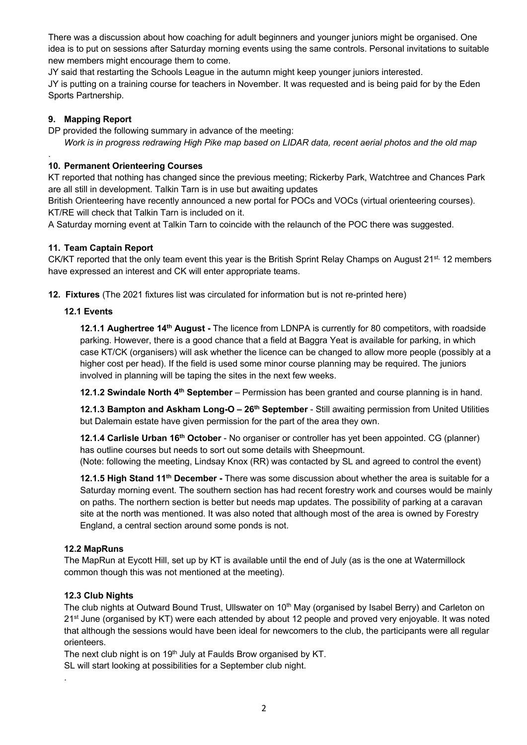There was a discussion about how coaching for adult beginners and younger juniors might be organised. One idea is to put on sessions after Saturday morning events using the same controls. Personal invitations to suitable new members might encourage them to come.

JY said that restarting the Schools League in the autumn might keep younger juniors interested. JY is putting on a training course for teachers in November. It was requested and is being paid for by the Eden Sports Partnership.

## **9. Mapping Report**

.

DP provided the following summary in advance of the meeting: *Work is in progress redrawing High Pike map based on LIDAR data, recent aerial photos and the old map*

## **10. Permanent Orienteering Courses**

KT reported that nothing has changed since the previous meeting; Rickerby Park, Watchtree and Chances Park are all still in development. Talkin Tarn is in use but awaiting updates

British Orienteering have recently announced a new portal for POCs and VOCs (virtual orienteering courses). KT/RE will check that Talkin Tarn is included on it.

A Saturday morning event at Talkin Tarn to coincide with the relaunch of the POC there was suggested.

## **11. Team Captain Report**

CK/KT reported that the only team event this year is the British Sprint Relay Champs on August 21<sup>st,</sup> 12 members have expressed an interest and CK will enter appropriate teams.

**12. Fixtures** (The 2021 fixtures list was circulated for information but is not re-printed here)

## **12.1 Events**

**12.1.1 Aughertree 14th August -** The licence from LDNPA is currently for 80 competitors, with roadside parking. However, there is a good chance that a field at Baggra Yeat is available for parking, in which case KT/CK (organisers) will ask whether the licence can be changed to allow more people (possibly at a higher cost per head). If the field is used some minor course planning may be required. The juniors involved in planning will be taping the sites in the next few weeks.

**12.1.2 Swindale North 4th September** – Permission has been granted and course planning is in hand.

**12.1.3 Bampton and Askham Long-O – 26th September** - Still awaiting permission from United Utilities but Dalemain estate have given permission for the part of the area they own.

**12.1.4 Carlisle Urban 16th October** - No organiser or controller has yet been appointed. CG (planner) has outline courses but needs to sort out some details with Sheepmount. (Note: following the meeting, Lindsay Knox (RR) was contacted by SL and agreed to control the event)

**12.1.5 High Stand 11th December -** There was some discussion about whether the area is suitable for a Saturday morning event. The southern section has had recent forestry work and courses would be mainly on paths. The northern section is better but needs map updates. The possibility of parking at a caravan site at the north was mentioned. It was also noted that although most of the area is owned by Forestry England, a central section around some ponds is not.

#### **12.2 MapRuns**

The MapRun at Eycott Hill, set up by KT is available until the end of July (as is the one at Watermillock common though this was not mentioned at the meeting).

# **12.3 Club Nights**

.

The club nights at Outward Bound Trust, Ullswater on 10<sup>th</sup> May (organised by Isabel Berry) and Carleton on 21<sup>st</sup> June (organised by KT) were each attended by about 12 people and proved very enjoyable. It was noted that although the sessions would have been ideal for newcomers to the club, the participants were all regular orienteers.

The next club night is on  $19<sup>th</sup>$  July at Faulds Brow organised by KT.

SL will start looking at possibilities for a September club night.